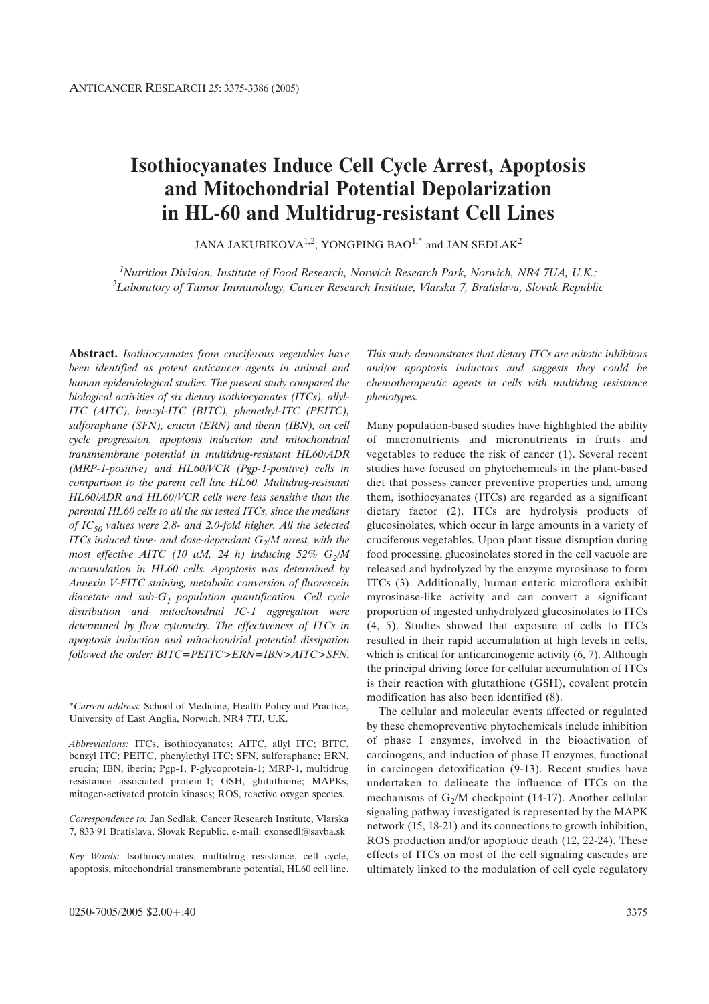# **Isothiocyanates Induce Cell Cycle Arrest, Apoptosis and Mitochondrial Potential Depolarization in HL-60 and Multidrug-resistant Cell Lines**

JANA JAKUBIKOVA<sup>1,2</sup>, YONGPING BAO<sup>1,\*</sup> and JAN SEDLAK<sup>2</sup>

*1Nutrition Division, Institute of Food Research, Norwich Research Park, Norwich, NR4 7UA, U.K.; 2Laboratory of Tumor Immunology, Cancer Research Institute, Vlarska 7, Bratislava, Slovak Republic*

**Abstract.** *Isothiocyanates from cruciferous vegetables have been identified as potent anticancer agents in animal and human epidemiological studies. The present study compared the biological activities of six dietary isothiocyanates (ITCs), allyl-ITC (AITC), benzyl-ITC (BITC), phenethyl-ITC (PEITC), sulforaphane (SFN), erucin (ERN) and iberin (IBN), on cell cycle progression, apoptosis induction and mitochondrial transmembrane potential in multidrug-resistant HL60/ADR (MRP-1-positive) and HL60/VCR (Pgp-1-positive) cells in comparison to the parent cell line HL60. Multidrug-resistant HL60/ADR and HL60/VCR cells were less sensitive than the parental HL60 cells to all the six tested ITCs, since the medians of IC50 values were 2.8- and 2.0-fold higher. All the selected ITCs induced time- and dose-dependant*  $G_2/M$  *arrest, with the* most effective AITC (10  $\mu$ M, 24 h) inducing 52%  $G_2/M$ *accumulation in HL60 cells. Apoptosis was determined by Annexin V-FITC staining, metabolic conversion of fluorescein diacetate and sub-G1 population quantification. Cell cycle distribution and mitochondrial JC-1 aggregation were determined by flow cytometry. The effectiveness of ITCs in apoptosis induction and mitochondrial potential dissipation followed the order: BITC=PEITC>ERN=IBN>AITC>SFN.*

*This study demonstrates that dietary ITCs are mitotic inhibitors and/or apoptosis inductors and suggests they could be chemotherapeutic agents in cells with multidrug resistance phenotypes.*

Many population-based studies have highlighted the ability of macronutrients and micronutrients in fruits and vegetables to reduce the risk of cancer (1). Several recent studies have focused on phytochemicals in the plant-based diet that possess cancer preventive properties and, among them, isothiocyanates (ITCs) are regarded as a significant dietary factor (2). ITCs are hydrolysis products of glucosinolates, which occur in large amounts in a variety of cruciferous vegetables. Upon plant tissue disruption during food processing, glucosinolates stored in the cell vacuole are released and hydrolyzed by the enzyme myrosinase to form ITCs (3). Additionally, human enteric microflora exhibit myrosinase-like activity and can convert a significant proportion of ingested unhydrolyzed glucosinolates to ITCs (4, 5). Studies showed that exposure of cells to ITCs resulted in their rapid accumulation at high levels in cells, which is critical for anticarcinogenic activity  $(6, 7)$ . Although the principal driving force for cellular accumulation of ITCs is their reaction with glutathione (GSH), covalent protein modification has also been identified (8).

The cellular and molecular events affected or regulated by these chemopreventive phytochemicals include inhibition of phase I enzymes, involved in the bioactivation of carcinogens, and induction of phase II enzymes, functional in carcinogen detoxification (9-13). Recent studies have undertaken to delineate the influence of ITCs on the mechanisms of  $G_2/M$  checkpoint (14-17). Another cellular signaling pathway investigated is represented by the MAPK network (15, 18-21) and its connections to growth inhibition, ROS production and/or apoptotic death (12, 22-24). These effects of ITCs on most of the cell signaling cascades are ultimately linked to the modulation of cell cycle regulatory

<sup>\*</sup>*Current address:* School of Medicine, Health Policy and Practice, University of East Anglia, Norwich, NR4 7TJ, U.K.

*Abbreviations:* ITCs, isothiocyanates; AITC, allyl ITC; BITC, benzyl ITC; PEITC, phenylethyl ITC; SFN, sulforaphane; ERN, erucin; IBN, iberin; Pgp-1, P-glycoprotein-1; MRP-1, multidrug resistance associated protein-1; GSH, glutathione; MAPKs, mitogen-activated protein kinases; ROS, reactive oxygen species.

*Correspondence to:* Jan Sedlak, Cancer Research Institute, Vlarska 7, 833 91 Bratislava, Slovak Republic. e-mail: exonsedl@savba.sk

*Key Words:* Isothiocyanates, multidrug resistance, cell cycle, apoptosis, mitochondrial transmembrane potential, HL60 cell line.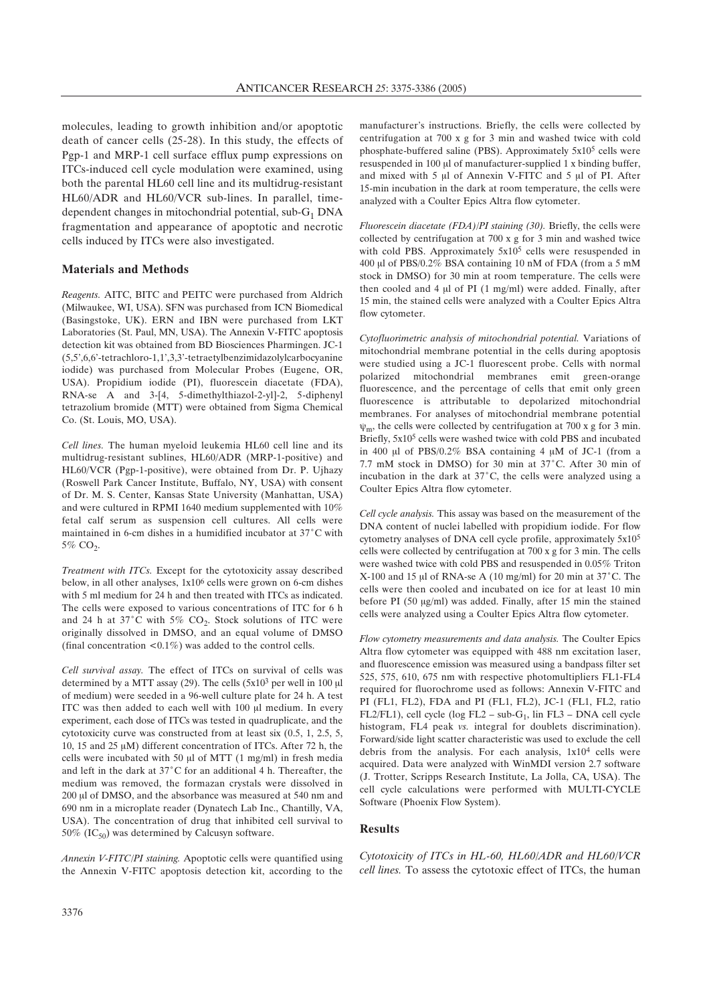molecules, leading to growth inhibition and/or apoptotic death of cancer cells (25-28). In this study, the effects of Pgp-1 and MRP-1 cell surface efflux pump expressions on ITCs-induced cell cycle modulation were examined, using both the parental HL60 cell line and its multidrug-resistant HL60/ADR and HL60/VCR sub-lines. In parallel, timedependent changes in mitochondrial potential, sub- $G_1$  DNA fragmentation and appearance of apoptotic and necrotic cells induced by ITCs were also investigated.

## **Materials and Methods**

*Reagents.* AITC, BITC and PEITC were purchased from Aldrich (Milwaukee, WI, USA). SFN was purchased from ICN Biomedical (Basingstoke, UK). ERN and IBN were purchased from LKT Laboratories (St. Paul, MN, USA). The Annexin V-FITC apoptosis detection kit was obtained from BD Biosciences Pharmingen. JC-1 (5,5',6,6'-tetrachloro-1,1',3,3'-tetraetylbenzimidazolylcarbocyanine iodide) was purchased from Molecular Probes (Eugene, OR, USA). Propidium iodide (PI), fluorescein diacetate (FDA), RNA-se A and 3-[4, 5-dimethylthiazol-2-yl]-2, 5-diphenyl tetrazolium bromide (MTT) were obtained from Sigma Chemical Co. (St. Louis, MO, USA).

*Cell lines.* The human myeloid leukemia HL60 cell line and its multidrug-resistant sublines, HL60/ADR (MRP-1-positive) and HL60/VCR (Pgp-1-positive), were obtained from Dr. P. Ujhazy (Roswell Park Cancer Institute, Buffalo, NY, USA) with consent of Dr. M. S. Center, Kansas State University (Manhattan, USA) and were cultured in RPMI 1640 medium supplemented with 10% fetal calf serum as suspension cell cultures. All cells were maintained in 6-cm dishes in a humidified incubator at 37°C with 5% CO<sub>2</sub>.

*Treatment with ITCs.* Except for the cytotoxicity assay described below, in all other analyses, 1x106 cells were grown on 6-cm dishes with 5 ml medium for 24 h and then treated with ITCs as indicated. The cells were exposed to various concentrations of ITC for 6 h and 24 h at 37°C with 5%  $CO<sub>2</sub>$ . Stock solutions of ITC were originally dissolved in DMSO, and an equal volume of DMSO (final concentration  $\langle 0.1\% \rangle$  was added to the control cells.

*Cell survival assay.* The effect of ITCs on survival of cells was determined by a MTT assay (29). The cells  $(5x10^3$  per well in 100  $\mu$ l of medium) were seeded in a 96-well culture plate for 24 h. A test ITC was then added to each well with 100 µl medium. In every experiment, each dose of ITCs was tested in quadruplicate, and the cytotoxicity curve was constructed from at least six (0.5, 1, 2.5, 5, 10, 15 and 25  $\mu$ M) different concentration of ITCs. After 72 h, the cells were incubated with 50  $\mu$ l of MTT (1 mg/ml) in fresh media and left in the dark at 37°C for an additional 4 h. Thereafter, the medium was removed, the formazan crystals were dissolved in 200 µl of DMSO, and the absorbance was measured at 540 nm and 690 nm in a microplate reader (Dynatech Lab Inc., Chantilly, VA, USA). The concentration of drug that inhibited cell survival to 50% (IC $_{50}$ ) was determined by Calcusyn software.

*Annexin V-FITC/PI staining.* Apoptotic cells were quantified using the Annexin V-FITC apoptosis detection kit, according to the

manufacturer's instructions. Briefly, the cells were collected by centrifugation at 700 x g for 3 min and washed twice with cold phosphate-buffered saline (PBS). Approximately 5x105 cells were resuspended in 100 µl of manufacturer-supplied 1 x binding buffer, and mixed with  $5 \mu$ l of Annexin V-FITC and  $5 \mu$ l of PI. After 15-min incubation in the dark at room temperature, the cells were analyzed with a Coulter Epics Altra flow cytometer.

*Fluorescein diacetate (FDA)/PI staining (30).* Briefly, the cells were collected by centrifugation at 700 x g for 3 min and washed twice with cold PBS. Approximately 5x10<sup>5</sup> cells were resuspended in 400 µl of PBS/0.2% BSA containing 10 nM of FDA (from a 5 mM stock in DMSO) for 30 min at room temperature. The cells were then cooled and 4  $\mu$ l of PI (1 mg/ml) were added. Finally, after 15 min, the stained cells were analyzed with a Coulter Epics Altra flow cytometer.

*Cytofluorimetric analysis of mitochondrial potential.* Variations of mitochondrial membrane potential in the cells during apoptosis were studied using a JC-1 fluorescent probe. Cells with normal polarized mitochondrial membranes emit green-orange fluorescence, and the percentage of cells that emit only green fluorescence is attributable to depolarized mitochondrial membranes. For analyses of mitochondrial membrane potential  $\psi_m$ , the cells were collected by centrifugation at 700 x g for 3 min. Briefly,  $5x10<sup>5</sup>$  cells were washed twice with cold PBS and incubated in 400  $\mu$ l of PBS/0.2% BSA containing 4  $\mu$ M of JC-1 (from a 7.7 mM stock in DMSO) for 30 min at 37°C. After 30 min of incubation in the dark at  $37^{\circ}$ C, the cells were analyzed using a Coulter Epics Altra flow cytometer.

*Cell cycle analysis.* This assay was based on the measurement of the DNA content of nuclei labelled with propidium iodide. For flow cytometry analyses of DNA cell cycle profile, approximately 5x105 cells were collected by centrifugation at 700 x g for 3 min. The cells were washed twice with cold PBS and resuspended in 0.05% Triton X-100 and 15  $\mu$ l of RNA-se A (10 mg/ml) for 20 min at 37°C. The cells were then cooled and incubated on ice for at least 10 min before PI (50 µg/ml) was added. Finally, after 15 min the stained cells were analyzed using a Coulter Epics Altra flow cytometer.

*Flow cytometry measurements and data analysis.* The Coulter Epics Altra flow cytometer was equipped with 488 nm excitation laser, and fluorescence emission was measured using a bandpass filter set 525, 575, 610, 675 nm with respective photomultipliers FL1-FL4 required for fluorochrome used as follows: Annexin V-FITC and PI (FL1, FL2), FDA and PI (FL1, FL2), JC-1 (FL1, FL2, ratio FL2/FL1), cell cycle (log FL2 – sub-G<sub>1</sub>, lin FL3 – DNA cell cycle histogram, FL4 peak *vs.* integral for doublets discrimination). Forward/side light scatter characteristic was used to exclude the cell debris from the analysis. For each analysis, 1x104 cells were acquired. Data were analyzed with WinMDI version 2.7 software (J. Trotter, Scripps Research Institute, La Jolla, CA, USA). The cell cycle calculations were performed with MULTI-CYCLE Software (Phoenix Flow System).

# **Results**

*Cytotoxicity of ITCs in HL-60, HL60/ADR and HL60/VCR cell lines.* To assess the cytotoxic effect of ITCs, the human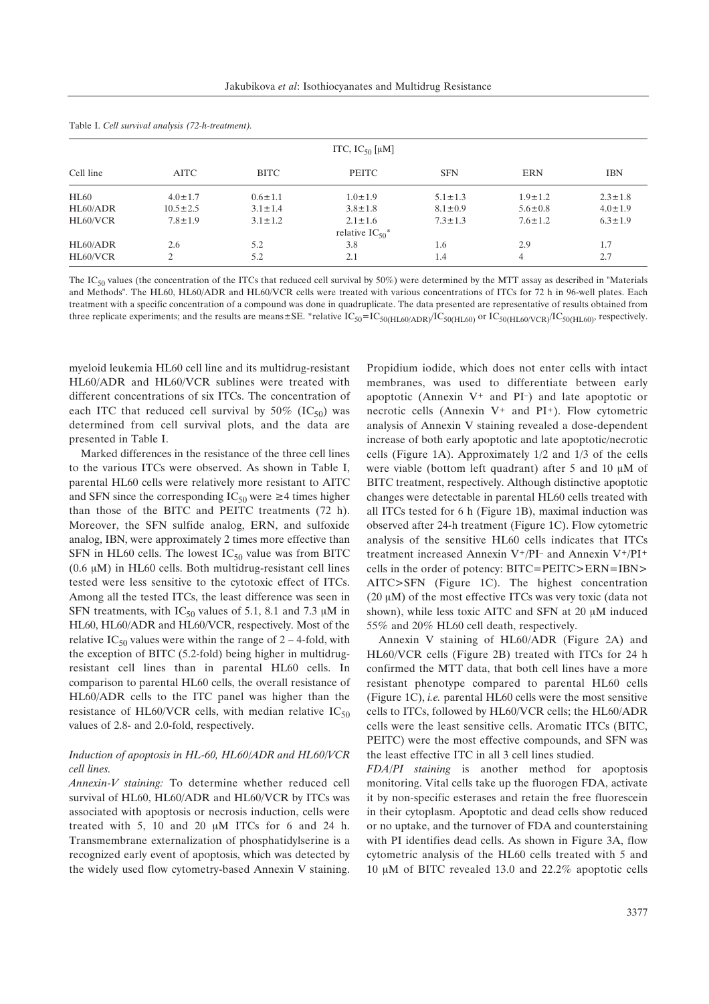| ITC, $IC_{50}$ [µM] |                |               |                                 |               |                |               |
|---------------------|----------------|---------------|---------------------------------|---------------|----------------|---------------|
| Cell line           | <b>AITC</b>    | <b>BITC</b>   | PEITC                           | <b>SFN</b>    | <b>ERN</b>     | <b>IBN</b>    |
| HL60                | $4.0 \pm 1.7$  | $0.6 \pm 1.1$ | $1.0 \pm 1.9$                   | $5.1 \pm 1.3$ | $1.9 \pm 1.2$  | $2.3 \pm 1.8$ |
| HL60/ADR            | $10.5 \pm 2.5$ | $3.1 \pm 1.4$ | $3.8 \pm 1.8$                   | $8.1 \pm 0.9$ | $5.6 \pm 0.8$  | $4.0 \pm 1.9$ |
| HL60/VCR            | $7.8 \pm 1.9$  | $3.1 \pm 1.2$ | $2.1 \pm 1.6$                   | $7.3 \pm 1.3$ | $7.6 \pm 1.2$  | $6.3 \pm 1.9$ |
|                     |                |               | relative $IC_{50}$ <sup>*</sup> |               |                |               |
| HL60/ADR            | 2.6            | 5.2           | 3.8                             | 1.6           | 2.9            | 1.7           |
| HL60/VCR            | 2              | 5.2           | 2.1                             | 1.4           | $\overline{4}$ | 2.7           |

Table I. *Cell survival analysis (72-h-treatment).*

The IC<sub>50</sub> values (the concentration of the ITCs that reduced cell survival by 50%) were determined by the MTT assay as described in "Materials and Methods". The HL60, HL60/ADR and HL60/VCR cells were treated with various concentrations of ITCs for 72 h in 96-well plates. Each treatment with a specific concentration of a compound was done in quadruplicate. The data presented are representative of results obtained from three replicate experiments; and the results are means  $\pm$  SE. \*relative IC<sub>50</sub>=IC<sub>50(HL60/ADR)</sub>/IC<sub>50(HL60)</sub> or IC<sub>50(HL60/VCR)</sub>/IC<sub>50(HL60</sub>), respectively.

myeloid leukemia HL60 cell line and its multidrug-resistant HL60/ADR and HL60/VCR sublines were treated with different concentrations of six ITCs. The concentration of each ITC that reduced cell survival by  $50\%$  (IC<sub>50</sub>) was determined from cell survival plots, and the data are presented in Table I.

Marked differences in the resistance of the three cell lines to the various ITCs were observed. As shown in Table I, parental HL60 cells were relatively more resistant to AITC and SFN since the corresponding  $IC_{50}$  were  $\geq 4$  times higher than those of the BITC and PEITC treatments (72 h). Moreover, the SFN sulfide analog, ERN, and sulfoxide analog, IBN, were approximately 2 times more effective than SFN in HL60 cells. The lowest  $IC_{50}$  value was from BITC  $(0.6 \mu M)$  in HL60 cells. Both multidrug-resistant cell lines tested were less sensitive to the cytotoxic effect of ITCs. Among all the tested ITCs, the least difference was seen in SFN treatments, with  $IC_{50}$  values of 5.1, 8.1 and 7.3  $\mu$ M in HL60, HL60/ADR and HL60/VCR, respectively. Most of the relative IC<sub>50</sub> values were within the range of  $2 - 4$ -fold, with the exception of BITC (5.2-fold) being higher in multidrugresistant cell lines than in parental HL60 cells. In comparison to parental HL60 cells, the overall resistance of HL60/ADR cells to the ITC panel was higher than the resistance of HL60/VCR cells, with median relative  $IC_{50}$ values of 2.8- and 2.0-fold, respectively.

## *Induction of apoptosis in HL-60, HL60/ADR and HL60/VCR cell lines.*

*Annexin-V staining:* To determine whether reduced cell survival of HL60, HL60/ADR and HL60/VCR by ITCs was associated with apoptosis or necrosis induction, cells were treated with 5, 10 and 20  $\mu$ M ITCs for 6 and 24 h. Transmembrane externalization of phosphatidylserine is a recognized early event of apoptosis, which was detected by the widely used flow cytometry-based Annexin V staining.

Propidium iodide, which does not enter cells with intact membranes, was used to differentiate between early apoptotic (Annexin V+ and PI–) and late apoptotic or necrotic cells (Annexin V+ and PI+). Flow cytometric analysis of Annexin V staining revealed a dose-dependent increase of both early apoptotic and late apoptotic/necrotic cells (Figure 1A). Approximately 1/2 and 1/3 of the cells were viable (bottom left quadrant) after 5 and 10  $\mu$ M of BITC treatment, respectively. Although distinctive apoptotic changes were detectable in parental HL60 cells treated with all ITCs tested for 6 h (Figure 1B), maximal induction was observed after 24-h treatment (Figure 1C). Flow cytometric analysis of the sensitive HL60 cells indicates that ITCs treatment increased Annexin V+/PI– and Annexin V+/PI+ cells in the order of potency: BITC=PEITC>ERN=IBN> AITC>SFN (Figure 1C). The highest concentration (20  $\mu$ M) of the most effective ITCs was very toxic (data not shown), while less toxic AITC and SFN at 20  $\mu$ M induced 55% and 20% HL60 cell death, respectively.

Annexin V staining of HL60/ADR (Figure 2A) and HL60/VCR cells (Figure 2B) treated with ITCs for 24 h confirmed the MTT data, that both cell lines have a more resistant phenotype compared to parental HL60 cells (Figure 1C), *i.e.* parental HL60 cells were the most sensitive cells to ITCs, followed by HL60/VCR cells; the HL60/ADR cells were the least sensitive cells. Aromatic ITCs (BITC, PEITC) were the most effective compounds, and SFN was the least effective ITC in all 3 cell lines studied.

*FDA/PI staining* is another method for apoptosis monitoring. Vital cells take up the fluorogen FDA, activate it by non-specific esterases and retain the free fluorescein in their cytoplasm. Apoptotic and dead cells show reduced or no uptake, and the turnover of FDA and counterstaining with PI identifies dead cells. As shown in Figure 3A, flow cytometric analysis of the HL60 cells treated with 5 and 10  $\mu$ M of BITC revealed 13.0 and 22.2% apoptotic cells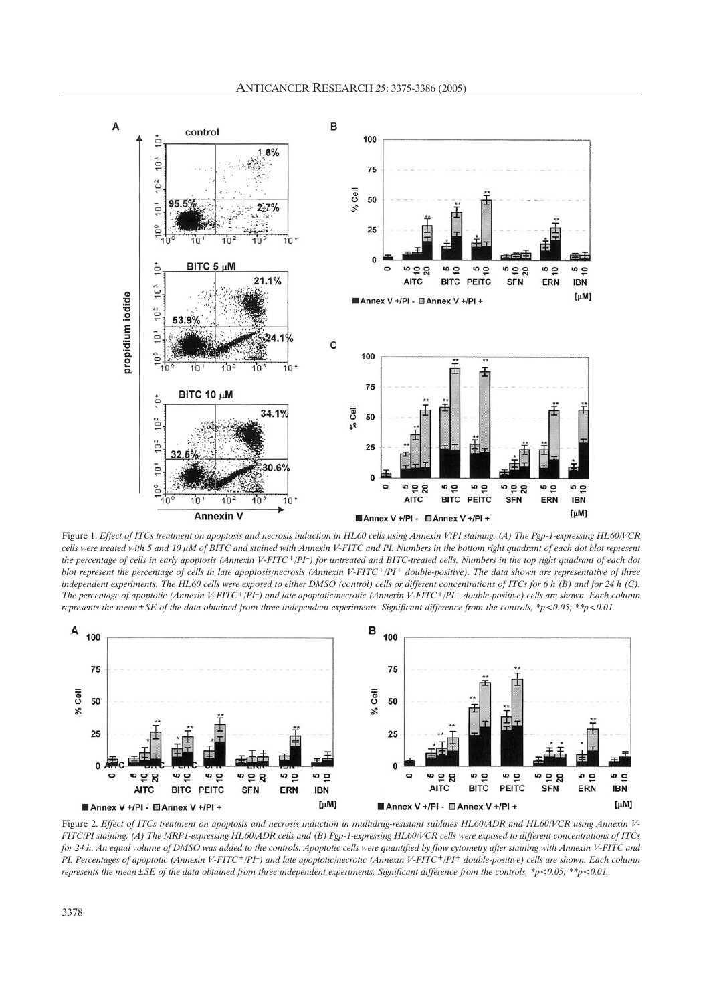

Figure 1. *Effect of ITCs treatment on apoptosis and necrosis induction in HL60 cells using Annexin V/PI staining. (A) The Pgp-1-expressing HL60/VCR* cells were treated with 5 and 10  $\mu$ M of BITC and stained with Annexin V-FITC and PI. Numbers in the bottom right quadrant of each dot blot represent *the percentage of cells in early apoptosis (Annexin V-FITC+/PI–) for untreated and BITC-treated cells. Numbers in the top right quadrant of each dot blot represent the percentage of cells in late apoptosis/necrosis (Annexin V-FITC+/PI+ double-positive). The data shown are representative of three independent experiments. The HL60 cells were exposed to either DMSO (control) cells or different concentrations of ITCs for 6 h (B) and for 24 h (C). The percentage of apoptotic (Annexin V-FITC+/PI–) and late apoptotic/necrotic (Annexin V-FITC+/PI+ double-positive) cells are shown. Each column represents the mean±SE of the data obtained from three independent experiments. Significant difference from the controls, \*p<0.05; \*\*p<0.01.*



Figure 2. Effect of ITCs treatment on apoptosis and necrosis induction in multidrug-resistant sublines HL60/ADR and HL60/VCR using Annexin V-*FITC/PI staining. (A) The MRP1-expressing HL60/ADR cells and (B) Pgp-1-expressing HL60/VCR cells were exposed to different concentrations of ITCs for 24 h. An equal volume of DMSO was added to the controls. Apoptotic cells were quantified by flow cytometry after staining with Annexin V-FITC and PI. Percentages of apoptotic (Annexin V-FITC+/PI–) and late apoptotic/necrotic (Annexin V-FITC+/PI+ double-positive) cells are shown. Each column represents the mean±SE of the data obtained from three independent experiments. Significant difference from the controls, \*p<0.05; \*\*p<0.01.*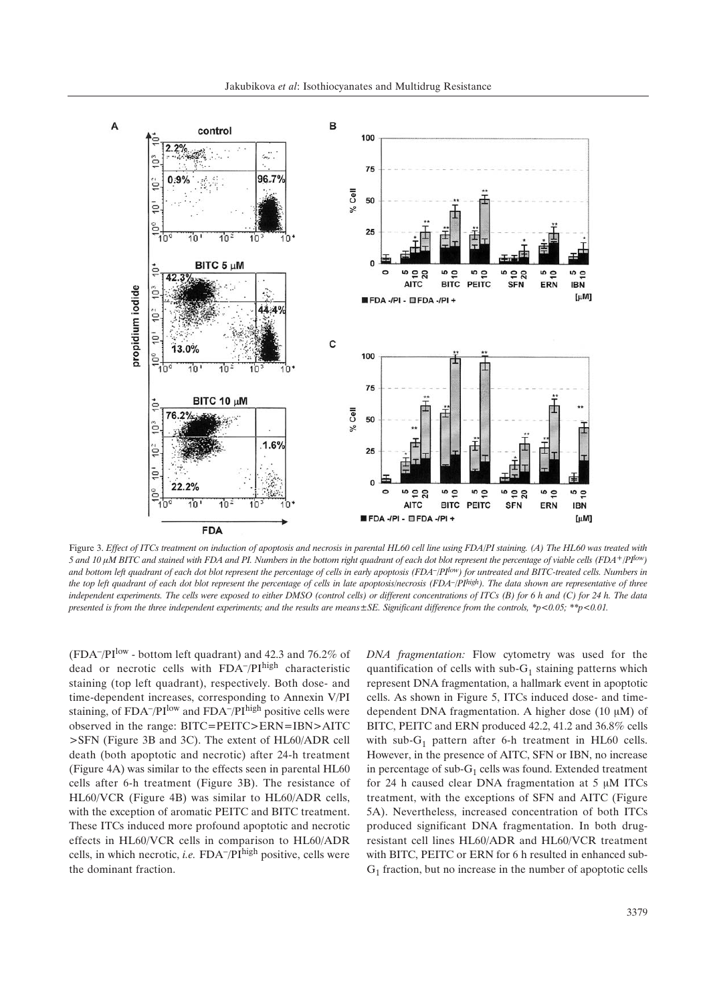

Figure 3. *Effect of ITCs treatment on induction of apoptosis and necrosis in parental HL60 cell line using FDA/PI staining. (A) The HL60 was treated with* 5 and 10  $\mu$ M BITC and stained with FDA and PI. Numbers in the bottom right quadrant of each dot blot represent the percentage of viable cells (FDA+/PI<sup>low</sup>) *and bottom left quadrant of each dot blot represent the percentage of cells in early apoptosis (FDA–/PIlow) for untreated and BITC-treated cells. Numbers in the top left quadrant of each dot blot represent the percentage of cells in late apoptosis/necrosis (FDA–/PIhigh). The data shown are representative of three independent experiments. The cells were exposed to either DMSO (control cells) or different concentrations of ITCs (B) for 6 h and (C) for 24 h. The data presented is from the three independent experiments; and the results are means±SE. Significant difference from the controls, \*p<0.05; \*\*p<0.01.*

(FDA<sup>-</sup>/PI<sup>low</sup> - bottom left quadrant) and 42.3 and 76.2% of dead or necrotic cells with FDA<sup>-</sup>/PIhigh characteristic staining (top left quadrant), respectively. Both dose- and time-dependent increases, corresponding to Annexin V/PI staining, of  $FDA^-/PI^{\text{low}}$  and  $FDA^-/PI^{\text{high}}$  positive cells were observed in the range: BITC=PEITC>ERN=IBN>AITC >SFN (Figure 3B and 3C). The extent of HL60/ADR cell death (both apoptotic and necrotic) after 24-h treatment (Figure 4A) was similar to the effects seen in parental HL60 cells after 6-h treatment (Figure 3B). The resistance of HL60/VCR (Figure 4B) was similar to HL60/ADR cells, with the exception of aromatic PEITC and BITC treatment. These ITCs induced more profound apoptotic and necrotic effects in HL60/VCR cells in comparison to HL60/ADR cells, in which necrotic, *i.e.* FDA<sup> $-$ </sup>/PI<sup>high</sup> positive, cells were the dominant fraction.

*DNA fragmentation:* Flow cytometry was used for the quantification of cells with sub- $G_1$  staining patterns which represent DNA fragmentation, a hallmark event in apoptotic cells. As shown in Figure 5, ITCs induced dose- and timedependent DNA fragmentation. A higher dose  $(10 \mu M)$  of BITC, PEITC and ERN produced 42.2, 41.2 and 36.8% cells with sub- $G_1$  pattern after 6-h treatment in HL60 cells. However, in the presence of AITC, SFN or IBN, no increase in percentage of sub- $G_1$  cells was found. Extended treatment for 24 h caused clear DNA fragmentation at  $5 \mu M$  ITCs treatment, with the exceptions of SFN and AITC (Figure 5A). Nevertheless, increased concentration of both ITCs produced significant DNA fragmentation. In both drugresistant cell lines HL60/ADR and HL60/VCR treatment with BITC, PEITC or ERN for 6 h resulted in enhanced sub- $G_1$  fraction, but no increase in the number of apoptotic cells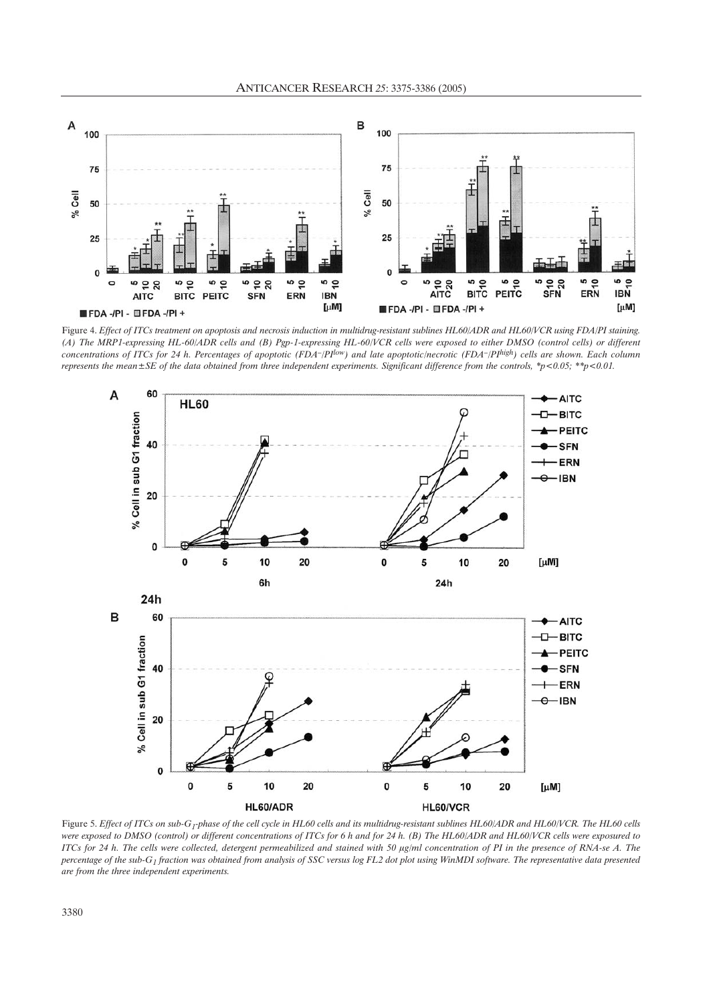

Figure 4. *Effect of ITCs treatment on apoptosis and necrosis induction in multidrug-resistant sublines HL60/ADR and HL60/VCR using FDA/PI staining. (A) The MRP1-expressing HL-60/ADR cells and (B) Pgp-1-expressing HL-60/VCR cells were exposed to either DMSO (control cells) or different concentrations of ITCs for 24 h. Percentages of apoptotic (FDA–/PIlow) and late apoptotic/necrotic (FDA–/PIhigh) cells are shown. Each column represents the mean±SE of the data obtained from three independent experiments. Significant difference from the controls, \*p<0.05; \*\*p<0.01.*



Figure 5. *Effect of ITCs on sub-G<sub>1</sub>-phase of the cell cycle in HL60 cells and its multidrug-resistant sublines HL60/ADR and HL60/VCR. The HL60 cells were exposed to DMSO (control) or different concentrations of ITCs for 6 h and for 24 h. (B) The HL60/ADR and HL60/VCR cells were exposured to ITCs for 24 h. The cells were collected, detergent permeabilized and stained with 50 µg/ml concentration of PI in the presence of RNA-se A. The percentage of the sub-G1 fraction was obtained from analysis of SSC versus log FL2 dot plot using WinMDI software. The representative data presented are from the three independent experiments.*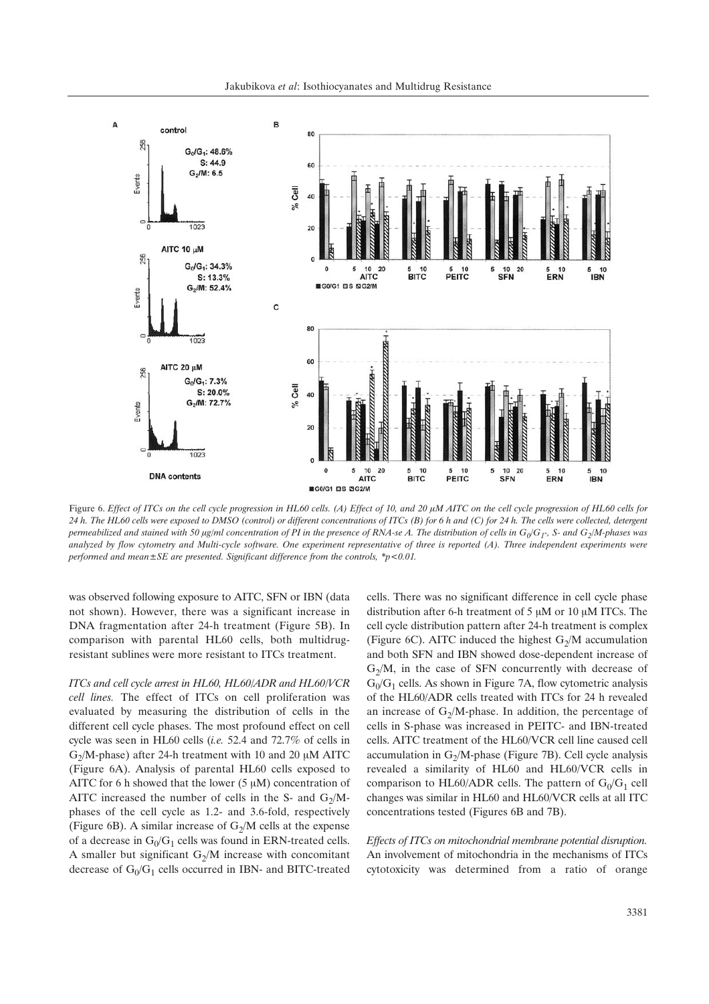Jakubikova *et al*: Isothiocyanates and Multidrug Resistance



Figure 6. *Effect of ITCs on the cell cycle progression in HL60 cells.* (A) *Effect of 10, and 20*  $\mu$ *M AITC on the cell cycle progression of HL60 cells for 24 h. The HL60 cells were exposed to DMSO (control) or different concentrations of ITCs (B) for 6 h and (C) for 24 h. The cells were collected, detergent permeabilized and stained with 50 µg/ml concentration of PI in the presence of RNA-se A. The distribution of cells in*  $G_0/G_T$ *, S- and*  $G_2/M$ *-phases was analyzed by flow cytometry and Multi-cycle software. One experiment representative of three is reported (A). Three independent experiments were performed and mean±SE are presented. Significant difference from the controls, \*p<0.01.*

was observed following exposure to AITC, SFN or IBN (data not shown). However, there was a significant increase in DNA fragmentation after 24-h treatment (Figure 5B). In comparison with parental HL60 cells, both multidrugresistant sublines were more resistant to ITCs treatment.

*ITCs and cell cycle arrest in HL60, HL60/ADR and HL60/VCR cell lines.* The effect of ITCs on cell proliferation was evaluated by measuring the distribution of cells in the different cell cycle phases. The most profound effect on cell cycle was seen in HL60 cells (*i.e.* 52.4 and 72.7% of cells in  $G_2/M$ -phase) after 24-h treatment with 10 and 20  $\mu$ M AITC (Figure 6A). Analysis of parental HL60 cells exposed to AITC for 6 h showed that the lower  $(5 \mu M)$  concentration of AITC increased the number of cells in the S- and  $G_2/M$ phases of the cell cycle as 1.2- and 3.6-fold, respectively (Figure 6B). A similar increase of  $G_2/M$  cells at the expense of a decrease in  $G_0/G_1$  cells was found in ERN-treated cells. A smaller but significant  $G_2/M$  increase with concomitant decrease of  $G_0/G_1$  cells occurred in IBN- and BITC-treated

cells. There was no significant difference in cell cycle phase distribution after 6-h treatment of 5  $\mu$ M or 10  $\mu$ M ITCs. The cell cycle distribution pattern after 24-h treatment is complex (Figure 6C). AITC induced the highest  $G_2/M$  accumulation and both SFN and IBN showed dose-dependent increase of  $G_2/M$ , in the case of SFN concurrently with decrease of  $G_0/G_1$  cells. As shown in Figure 7A, flow cytometric analysis of the HL60/ADR cells treated with ITCs for 24 h revealed an increase of  $G_2/M$ -phase. In addition, the percentage of cells in S-phase was increased in PEITC- and IBN-treated cells. AITC treatment of the HL60/VCR cell line caused cell accumulation in  $G_2/M$ -phase (Figure 7B). Cell cycle analysis revealed a similarity of HL60 and HL60/VCR cells in comparison to HL60/ADR cells. The pattern of  $G_0/G_1$  cell changes was similar in HL60 and HL60/VCR cells at all ITC concentrations tested (Figures 6B and 7B).

*Effects of ITCs on mitochondrial membrane potential disruption.* An involvement of mitochondria in the mechanisms of ITCs cytotoxicity was determined from a ratio of orange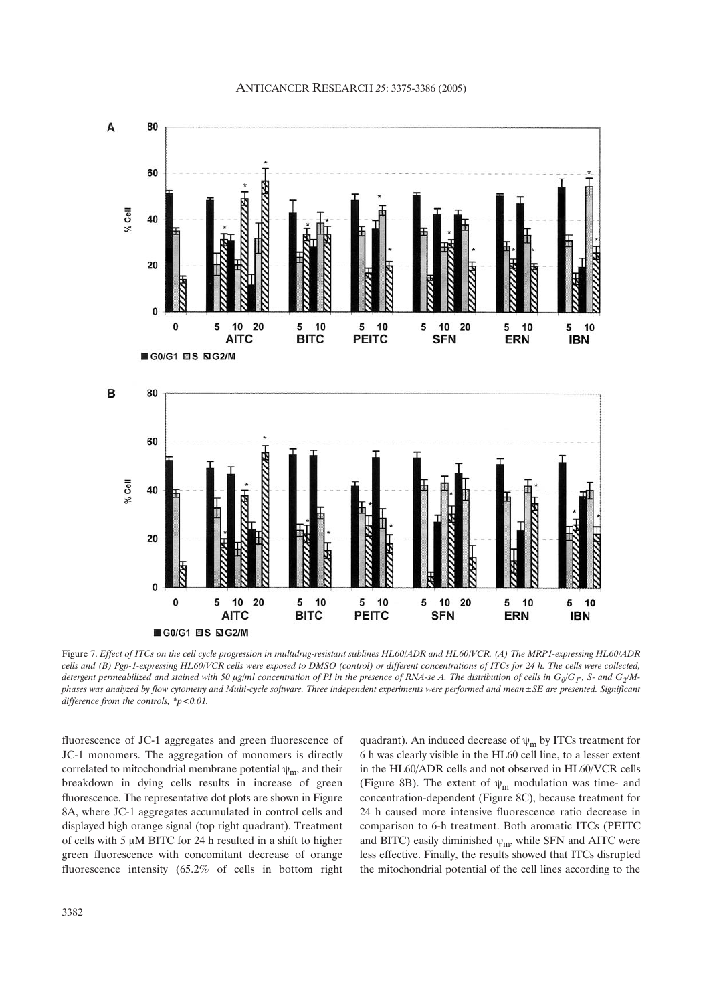

Figure 7. *Effect of ITCs on the cell cycle progression in multidrug-resistant sublines HL60/ADR and HL60/VCR. (A) The MRP1-expressing HL60/ADR cells and (B) Pgp-1-expressing HL60/VCR cells were exposed to DMSO (control) or different concentrations of ITCs for 24 h. The cells were collected,* detergent permeabilized and stained with 50 µg/ml concentration of PI in the presence of RNA-se A. The distribution of cells in  $G_0/G_T$ , S- and  $G_2/M$ *phases was analyzed by flow cytometry and Multi-cycle software. Three independent experiments were performed and mean±SE are presented. Significant difference from the controls, \*p<0.01.*

fluorescence of JC-1 aggregates and green fluorescence of JC-1 monomers. The aggregation of monomers is directly correlated to mitochondrial membrane potential  $\psi_m$ , and their breakdown in dying cells results in increase of green fluorescence. The representative dot plots are shown in Figure 8A, where JC-1 aggregates accumulated in control cells and displayed high orange signal (top right quadrant). Treatment of cells with 5  $\mu$ M BITC for 24 h resulted in a shift to higher green fluorescence with concomitant decrease of orange fluorescence intensity (65.2% of cells in bottom right quadrant). An induced decrease of  $\psi_m$  by ITCs treatment for 6 h was clearly visible in the HL60 cell line, to a lesser extent in the HL60/ADR cells and not observed in HL60/VCR cells (Figure 8B). The extent of  $\psi_m$  modulation was time- and concentration-dependent (Figure 8C), because treatment for 24 h caused more intensive fluorescence ratio decrease in comparison to 6-h treatment. Both aromatic ITCs (PEITC and BITC) easily diminished  $\psi_m$ , while SFN and AITC were less effective. Finally, the results showed that ITCs disrupted the mitochondrial potential of the cell lines according to the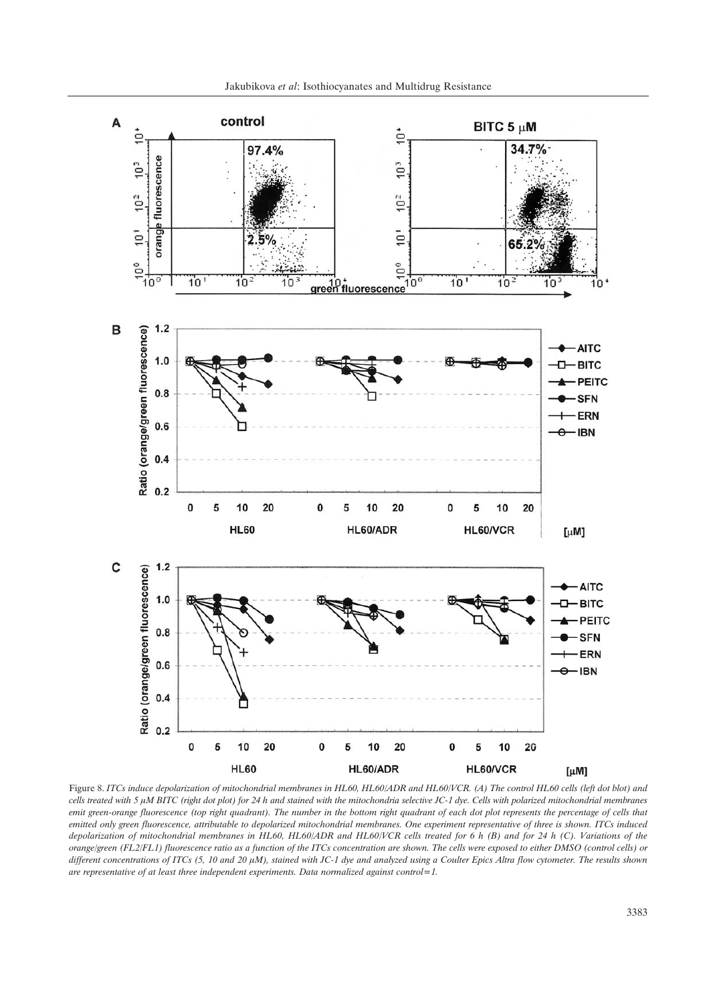

Figure 8. *ITCs induce depolarization of mitochondrial membranes in HL60, HL60/ADR and HL60/VCR. (A) The control HL60 cells (left dot blot) and cells treated with 5 µM BITC (right dot plot) for 24 h and stained with the mitochondria selective JC-1 dye. Cells with polarized mitochondrial membranes emit green-orange fluorescence (top right quadrant). The number in the bottom right quadrant of each dot plot represents the percentage of cells that emitted only green fluorescence, attributable to depolarized mitochondrial membranes. One experiment representative of three is shown. ITCs induced depolarization of mitochondrial membranes in HL60, HL60/ADR and HL60/VCR cells treated for 6 h (B) and for 24 h (C). Variations of the orange/green (FL2/FL1) fluorescence ratio as a function of the ITCs concentration are shown. The cells were exposed to either DMSO (control cells) or* different concentrations of ITCs (5, 10 and 20  $\mu$ M), stained with JC-1 dye and analyzed using a Coulter Epics Altra flow cytometer. The results shown *are representative of at least three independent experiments. Data normalized against control=1.*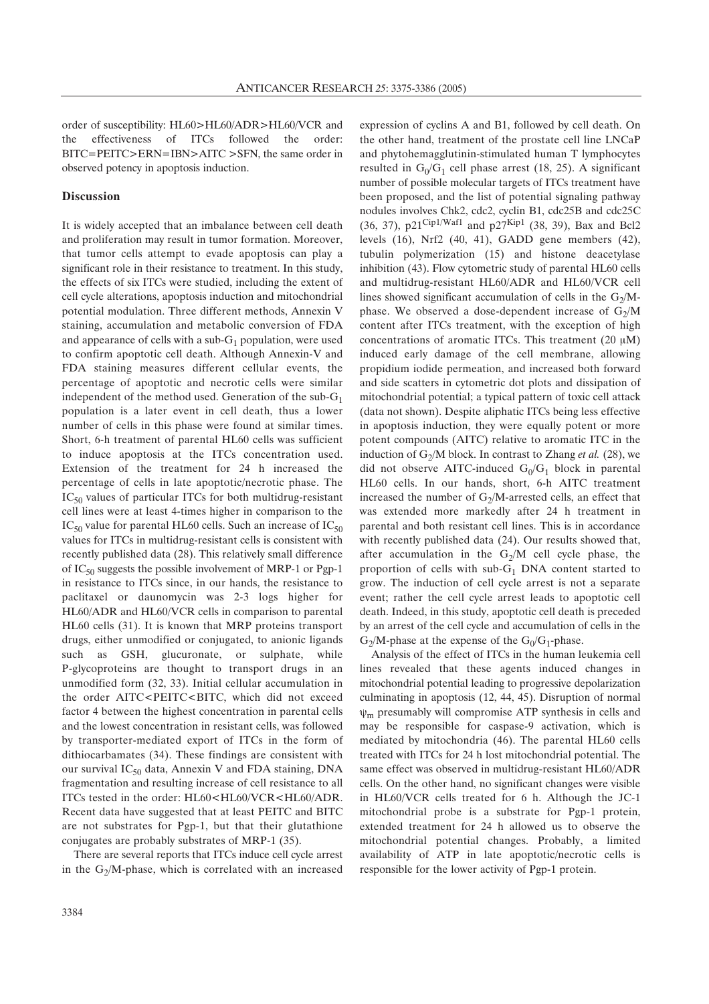order of susceptibility: HL60>HL60/ADR>HL60/VCR and the effectiveness of ITCs followed the order: BITC=PEITC>ERN=IBN>AITC >SFN, the same order in observed potency in apoptosis induction.

#### **Discussion**

It is widely accepted that an imbalance between cell death and proliferation may result in tumor formation. Moreover, that tumor cells attempt to evade apoptosis can play a significant role in their resistance to treatment. In this study, the effects of six ITCs were studied, including the extent of cell cycle alterations, apoptosis induction and mitochondrial potential modulation. Three different methods, Annexin V staining, accumulation and metabolic conversion of FDA and appearance of cells with a sub- $G_1$  population, were used to confirm apoptotic cell death. Although Annexin-V and FDA staining measures different cellular events, the percentage of apoptotic and necrotic cells were similar independent of the method used. Generation of the sub- $G_1$ population is a later event in cell death, thus a lower number of cells in this phase were found at similar times. Short, 6-h treatment of parental HL60 cells was sufficient to induce apoptosis at the ITCs concentration used. Extension of the treatment for 24 h increased the percentage of cells in late apoptotic/necrotic phase. The  $IC_{50}$  values of particular ITCs for both multidrug-resistant cell lines were at least 4-times higher in comparison to the  $IC_{50}$  value for parental HL60 cells. Such an increase of  $IC_{50}$ values for ITCs in multidrug-resistant cells is consistent with recently published data (28). This relatively small difference of IC<sub>50</sub> suggests the possible involvement of MRP-1 or Pgp-1 in resistance to ITCs since, in our hands, the resistance to paclitaxel or daunomycin was 2-3 logs higher for HL60/ADR and HL60/VCR cells in comparison to parental HL60 cells (31). It is known that MRP proteins transport drugs, either unmodified or conjugated, to anionic ligands such as GSH, glucuronate, or sulphate, while P-glycoproteins are thought to transport drugs in an unmodified form (32, 33). Initial cellular accumulation in the order AITC<PEITC<BITC, which did not exceed factor 4 between the highest concentration in parental cells and the lowest concentration in resistant cells, was followed by transporter-mediated export of ITCs in the form of dithiocarbamates (34). These findings are consistent with our survival  $IC_{50}$  data, Annexin V and FDA staining, DNA fragmentation and resulting increase of cell resistance to all ITCs tested in the order: HL60<HL60/VCR<HL60/ADR. Recent data have suggested that at least PEITC and BITC are not substrates for Pgp-1, but that their glutathione conjugates are probably substrates of MRP-1 (35).

There are several reports that ITCs induce cell cycle arrest in the  $G_2/M$ -phase, which is correlated with an increased expression of cyclins A and B1, followed by cell death. On the other hand, treatment of the prostate cell line LNCaP and phytohemagglutinin-stimulated human T lymphocytes resulted in  $G_0/G_1$  cell phase arrest (18, 25). A significant number of possible molecular targets of ITCs treatment have been proposed, and the list of potential signaling pathway nodules involves Chk2, cdc2, cyclin B1, cdc25B and cdc25C (36, 37),  $p21^{\text{Cip1/Wafl}}$  and  $p27^{\text{Kip1}}$  (38, 39), Bax and Bcl2 levels (16), Nrf2 (40, 41), GADD gene members (42), tubulin polymerization (15) and histone deacetylase inhibition (43). Flow cytometric study of parental HL60 cells and multidrug-resistant HL60/ADR and HL60/VCR cell lines showed significant accumulation of cells in the  $G_2/M$ phase. We observed a dose-dependent increase of  $G_2/M$ content after ITCs treatment, with the exception of high concentrations of aromatic ITCs. This treatment (20  $\mu$ M) induced early damage of the cell membrane, allowing propidium iodide permeation, and increased both forward and side scatters in cytometric dot plots and dissipation of mitochondrial potential; a typical pattern of toxic cell attack (data not shown). Despite aliphatic ITCs being less effective in apoptosis induction, they were equally potent or more potent compounds (AITC) relative to aromatic ITC in the induction of  $G_2/M$  block. In contrast to Zhang *et al.* (28), we did not observe AITC-induced  $G_0/G_1$  block in parental HL60 cells. In our hands, short, 6-h AITC treatment increased the number of  $G_2/M$ -arrested cells, an effect that was extended more markedly after 24 h treatment in parental and both resistant cell lines. This is in accordance with recently published data (24). Our results showed that, after accumulation in the  $G_2/M$  cell cycle phase, the proportion of cells with  $sub-G<sub>1</sub>$  DNA content started to grow. The induction of cell cycle arrest is not a separate event; rather the cell cycle arrest leads to apoptotic cell death. Indeed, in this study, apoptotic cell death is preceded by an arrest of the cell cycle and accumulation of cells in the  $G_2/M$ -phase at the expense of the  $G_0/G_1$ -phase.

Analysis of the effect of ITCs in the human leukemia cell lines revealed that these agents induced changes in mitochondrial potential leading to progressive depolarization culminating in apoptosis (12, 44, 45). Disruption of normal  $\psi_m$  presumably will compromise ATP synthesis in cells and may be responsible for caspase-9 activation, which is mediated by mitochondria (46). The parental HL60 cells treated with ITCs for 24 h lost mitochondrial potential. The same effect was observed in multidrug-resistant HL60/ADR cells. On the other hand, no significant changes were visible in HL60/VCR cells treated for 6 h. Although the JC-1 mitochondrial probe is a substrate for Pgp-1 protein, extended treatment for 24 h allowed us to observe the mitochondrial potential changes. Probably, a limited availability of ATP in late apoptotic/necrotic cells is responsible for the lower activity of Pgp-1 protein.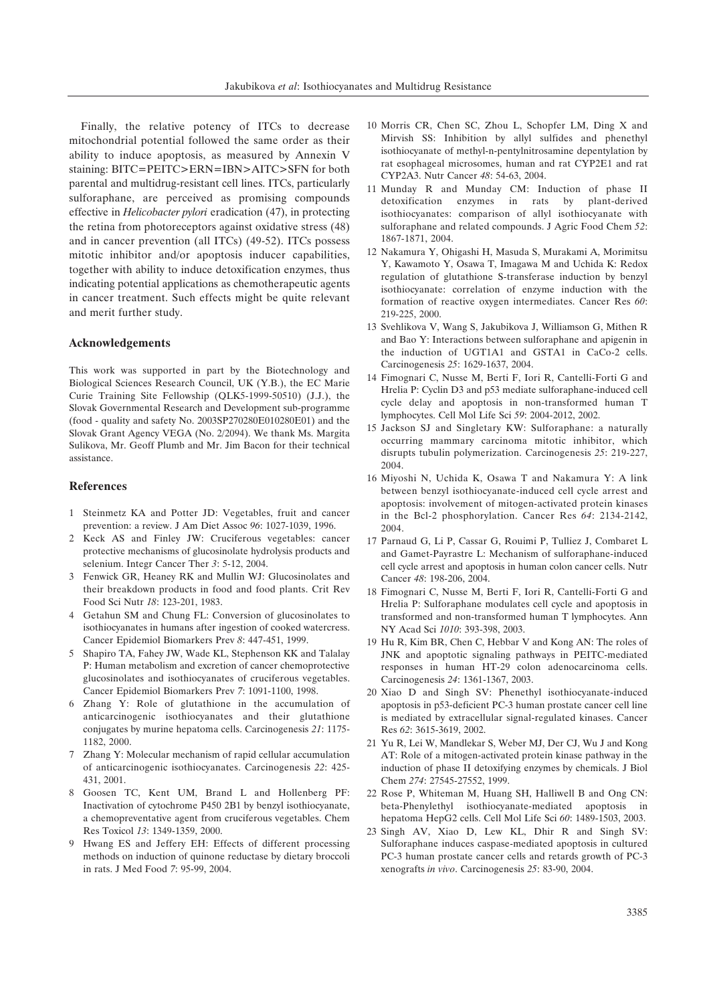Finally, the relative potency of ITCs to decrease mitochondrial potential followed the same order as their ability to induce apoptosis, as measured by Annexin V staining: BITC=PEITC>ERN=IBN>AITC>SFN for both parental and multidrug-resistant cell lines. ITCs, particularly sulforaphane, are perceived as promising compounds effective in *Helicobacter pylori* eradication (47), in protecting the retina from photoreceptors against oxidative stress (48) and in cancer prevention (all ITCs) (49-52). ITCs possess mitotic inhibitor and/or apoptosis inducer capabilities, together with ability to induce detoxification enzymes, thus indicating potential applications as chemotherapeutic agents in cancer treatment. Such effects might be quite relevant and merit further study.

#### **Acknowledgements**

This work was supported in part by the Biotechnology and Biological Sciences Research Council, UK (Y.B.), the EC Marie Curie Training Site Fellowship (QLK5-1999-50510) (J.J.), the Slovak Governmental Research and Development sub-programme (food - quality and safety No. 2003SP270280E010280E01) and the Slovak Grant Agency VEGA (No. 2/2094). We thank Ms. Margita Sulikova, Mr. Geoff Plumb and Mr. Jim Bacon for their technical assistance.

### **References**

- 1 Steinmetz KA and Potter JD: Vegetables, fruit and cancer prevention: a review. J Am Diet Assoc *96*: 1027-1039, 1996.
- 2 Keck AS and Finley JW: Cruciferous vegetables: cancer protective mechanisms of glucosinolate hydrolysis products and selenium. Integr Cancer Ther *3*: 5-12, 2004.
- 3 Fenwick GR, Heaney RK and Mullin WJ: Glucosinolates and their breakdown products in food and food plants. Crit Rev Food Sci Nutr *18*: 123-201, 1983.
- 4 Getahun SM and Chung FL: Conversion of glucosinolates to isothiocyanates in humans after ingestion of cooked watercress. Cancer Epidemiol Biomarkers Prev *8*: 447-451, 1999.
- 5 Shapiro TA, Fahey JW, Wade KL, Stephenson KK and Talalay P: Human metabolism and excretion of cancer chemoprotective glucosinolates and isothiocyanates of cruciferous vegetables. Cancer Epidemiol Biomarkers Prev *7*: 1091-1100, 1998.
- 6 Zhang Y: Role of glutathione in the accumulation of anticarcinogenic isothiocyanates and their glutathione conjugates by murine hepatoma cells. Carcinogenesis *21*: 1175- 1182, 2000.
- 7 Zhang Y: Molecular mechanism of rapid cellular accumulation of anticarcinogenic isothiocyanates. Carcinogenesis *22*: 425- 431, 2001.
- 8 Goosen TC, Kent UM, Brand L and Hollenberg PF: Inactivation of cytochrome P450 2B1 by benzyl isothiocyanate, a chemopreventative agent from cruciferous vegetables. Chem Res Toxicol *13*: 1349-1359, 2000.
- 9 Hwang ES and Jeffery EH: Effects of different processing methods on induction of quinone reductase by dietary broccoli in rats. J Med Food *7*: 95-99, 2004.
- 10 Morris CR, Chen SC, Zhou L, Schopfer LM, Ding X and Mirvish SS: Inhibition by allyl sulfides and phenethyl isothiocyanate of methyl-n-pentylnitrosamine depentylation by rat esophageal microsomes, human and rat CYP2E1 and rat CYP2A3. Nutr Cancer *48*: 54-63, 2004.
- 11 Munday R and Munday CM: Induction of phase II detoxification enzymes in rats by plant-derived isothiocyanates: comparison of allyl isothiocyanate with sulforaphane and related compounds. J Agric Food Chem *52*: 1867-1871, 2004.
- 12 Nakamura Y, Ohigashi H, Masuda S, Murakami A, Morimitsu Y, Kawamoto Y, Osawa T, Imagawa M and Uchida K: Redox regulation of glutathione S-transferase induction by benzyl isothiocyanate: correlation of enzyme induction with the formation of reactive oxygen intermediates. Cancer Res *60*: 219-225, 2000.
- 13 Svehlikova V, Wang S, Jakubikova J, Williamson G, Mithen R and Bao Y: Interactions between sulforaphane and apigenin in the induction of UGT1A1 and GSTA1 in CaCo-2 cells. Carcinogenesis *25*: 1629-1637, 2004.
- 14 Fimognari C, Nusse M, Berti F, Iori R, Cantelli-Forti G and Hrelia P: Cyclin D3 and p53 mediate sulforaphane-induced cell cycle delay and apoptosis in non-transformed human T lymphocytes. Cell Mol Life Sci *59*: 2004-2012, 2002.
- 15 Jackson SJ and Singletary KW: Sulforaphane: a naturally occurring mammary carcinoma mitotic inhibitor, which disrupts tubulin polymerization. Carcinogenesis *25*: 219-227, 2004.
- 16 Miyoshi N, Uchida K, Osawa T and Nakamura Y: A link between benzyl isothiocyanate-induced cell cycle arrest and apoptosis: involvement of mitogen-activated protein kinases in the Bcl-2 phosphorylation. Cancer Res *64*: 2134-2142, 2004.
- 17 Parnaud G, Li P, Cassar G, Rouimi P, Tulliez J, Combaret L and Gamet-Payrastre L: Mechanism of sulforaphane-induced cell cycle arrest and apoptosis in human colon cancer cells. Nutr Cancer *48*: 198-206, 2004.
- 18 Fimognari C, Nusse M, Berti F, Iori R, Cantelli-Forti G and Hrelia P: Sulforaphane modulates cell cycle and apoptosis in transformed and non-transformed human T lymphocytes. Ann NY Acad Sci *1010*: 393-398, 2003.
- 19 Hu R, Kim BR, Chen C, Hebbar V and Kong AN: The roles of JNK and apoptotic signaling pathways in PEITC-mediated responses in human HT-29 colon adenocarcinoma cells. Carcinogenesis *24*: 1361-1367, 2003.
- 20 Xiao D and Singh SV: Phenethyl isothiocyanate-induced apoptosis in p53-deficient PC-3 human prostate cancer cell line is mediated by extracellular signal-regulated kinases. Cancer Res *62*: 3615-3619, 2002.
- 21 Yu R, Lei W, Mandlekar S, Weber MJ, Der CJ, Wu J and Kong AT: Role of a mitogen-activated protein kinase pathway in the induction of phase II detoxifying enzymes by chemicals. J Biol Chem *274*: 27545-27552, 1999.
- 22 Rose P, Whiteman M, Huang SH, Halliwell B and Ong CN: beta-Phenylethyl isothiocyanate-mediated apoptosis in hepatoma HepG2 cells. Cell Mol Life Sci *60*: 1489-1503, 2003.
- 23 Singh AV, Xiao D, Lew KL, Dhir R and Singh SV: Sulforaphane induces caspase-mediated apoptosis in cultured PC-3 human prostate cancer cells and retards growth of PC-3 xenografts *in vivo*. Carcinogenesis *25*: 83-90, 2004.